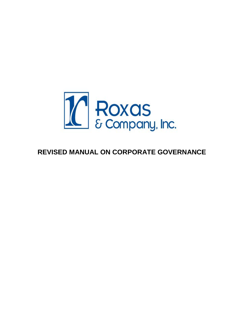

# **REVISED MANUAL ON CORPORATE GOVERNANCE**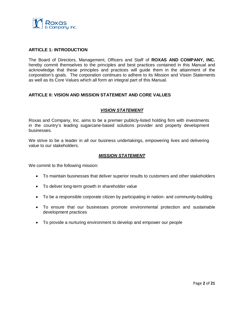

## **ARTICLE 1: INTRODUCTION**

The Board of Directors, Management, Officers and Staff of **ROXAS AND COMPANY, INC.** hereby commit themselves to the principles and best practices contained in this Manual and acknowledge that these principles and practices will guide them in the attainment of the corporation's goals. The corporation continues to adhere to its Mission and Vision Statements as well as its Core Values which all form an integral part of this Manual.

# **ARTICLE II: VISION AND MISSION STATEMENT AND CORE VALUES**

# *VISION STATEMENT*

Roxas and Company, Inc. aims to be a premier publicly-listed holding firm with investments in the country's leading sugarcane-based solutions provider and property development businesses.

We strive to be a leader in all our business undertakings, empowering lives and delivering value to our stakeholders.

## *MISSION STATEMENT*

We commit to the following mission:

- To maintain businesses that deliver superior results to customers and other stakeholders
- To deliver long-term growth in shareholder value
- To be a responsible corporate citizen by participating in nation- and community-building
- To ensure that our businesses promote environmental protection and sustainable development practices
- To provide a nurturing environment to develop and empower our people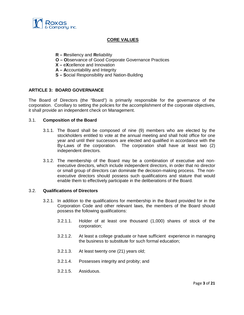

# **CORE VALUES**

- **R – R**esiliency and **R**eliability
- **O – O**bservance of Good Corporate Governance Practices
- **X –** e**X**cellence and Innovation
- **A – A**ccountability and Integrity
- **S – S**ocial Responsibility and Nation-Building

# **ARTICLE 3: BOARD GOVERNANCE**

The Board of Directors (the "Board") is primarily responsible for the governance of the corporation. Corollary to setting the policies for the accomplishment of the corporate objectives, it shall provide an independent check on Management.

## 3.1. **Composition of the Board**

- 3.1.1. The Board shall be composed of nine (9) members who are elected by the stockholders entitled to vote at the annual meeting and shall hold office for one year and until their successors are elected and qualified in accordance with the By-Laws of the corporation. The corporation shall have at least two (2) independent directors.
- 3.1.2. The membership of the Board may be a combination of executive and nonexecutive directors, which include independent directors, in order that no director or small group of directors can dominate the decision-making process. The nonexecutive directors should possess such qualifications and stature that would enable them to effectively participate in the deliberations of the Board.

## 3.2. **Qualifications of Directors**

- 3.2.1. In addition to the qualifications for membership in the Board provided for in the Corporation Code and other relevant laws, the members of the Board should possess the following qualifications:
	- 3.2.1.1. Holder of at least one thousand (1,000) shares of stock of the corporation;
	- 3.2.1.2. At least a college graduate or have sufficient experience in managing the business to substitute for such formal education;
	- 3.2.1.3. At least twenty one (21) years old;
	- 3.2.1.4. Possesses integrity and probity; and
	- 3.2.1.5. Assiduous.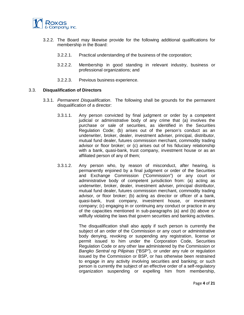

- 3.2.2. The Board may likewise provide for the following additional qualifications for membership in the Board:
	- 3.2.2.1. Practical understanding of the business of the corporation;
	- 3.2.2.2. Membership in good standing in relevant industry, business or professional organizations; and
	- 3.2.2.3. Previous business experience.

## 3.3. **Disqualification of Directors**

- 3.3.1. *Permanent Disqualification*. The following shall be grounds for the permanent disqualification of a director:
	- 3.3.1.1. Any person convicted by final judgment or order by a competent judicial or administrative body of any crime that (a) involves the purchase or sale of securities, as identified in the Securities Regulation Code; (b) arises out of the person's conduct as an underwriter, broker, dealer, investment adviser, principal, distributor, mutual fund dealer, futures commission merchant, commodity trading advisor or floor broker; or (c) arises out of his fiduciary relationship with a bank, quasi-bank, trust company, investment house or as an affiliated person of any of them;
	- 3.3.1.2. Any person who, by reason of misconduct, after hearing, is permanently enjoined by a final judgment or order of the Securities and Exchange Commission ("Commission") or any court or administrative body of competent jurisdiction from: (a) acting as underwriter, broker, dealer, investment adviser, principal distributor, mutual fund dealer, futures commission merchant, commodity trading advisor, or floor broker; (b) acting as director or officer of a bank, quasi-bank, trust company, investment house, or investment company; (c) engaging in or continuing any conduct or practice in any of the capacities mentioned in sub-paragraphs (a) and (b) above or willfully violating the laws that govern securities and banking activities.

The disqualification shall also apply if such person is currently the subject of an order of the Commission or any court or administrative body denying, revoking or suspending any registration, license or permit issued to him under the Corporation Code, Securities Regulation Code or any other law administered by the Commission or *Bangko Sentral ng Pilipinas* ("BSP"), or under any rule or regulation issued by the Commission or BSP, or has otherwise been restrained to engage in any activity involving securities and banking; or such person is currently the subject of an effective order of a self-regulatory organization suspending or expelling him from membership,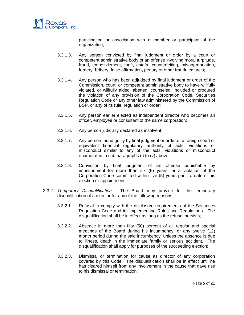

participation or association with a member or participant of the organization;

- 3.3.1.3. Any person convicted by final judgment or order by a court or competent administrative body of an offense involving moral turpitude, fraud, embezzlement, theft, estafa, counterfeiting, misappropriation, forgery, bribery, false affirmation, perjury or other fraudulent acts;
- 3.3.1.4. Any person who has been adjudged by final judgment or order of the Commission, court, or competent administrative body to have willfully violated, or willfully aided, abetted, counseled, included or procured the violation of any provision of the Corporation Code, Securities Regulation Code or any other law administered by the Commission of BSP, or any of its rule, regulation or order;
- 3.3.1.5. Any person earlier elected as independent director who becomes an officer, employee or consultant of the same corporation;
- 3.3.1.6. Any person judicially declared as insolvent;
- 3.3.1.7. Any person found guilty by final judgment or order of a foreign court or equivalent financial regulatory authority of acts, violations or misconduct similar to any of the acts, violations or misconduct enumerated in sub-paragraphs (i) to (v) above;
- 3.3.1.8. Conviction by final judgment of an offense punishable by imprisonment for more than six (6) years, or a violation of the Corporation Code committed within five (5) years prior to date of his election or appointment.
- 3.3.2. *Temporary Disqualification*. The Board may provide for the temporary disqualification of a director for any of the following reasons:
	- 3.3.2.1. Refusal to comply with the disclosure requirements of the Securities Regulation Code and its Implementing Rules and Regulations. The disqualification shall be in effect as long as the refusal persists;
	- 3.3.2.2. Absence in more than fifty (50) percent of all regular and special meetings of the Board during his incumbency, or any twelve (12) month period during the said incumbency, unless the absence is due to illness, death in the immediate family or serious accident. The disqualification shall apply for purposes of the succeeding election;
	- 3.3.2.3. Dismissal or termination for cause as director of any corporation covered by this Code. The disqualification shall be in effect until he has cleared himself from any involvement in the cause that gave rise to his dismissal or termination;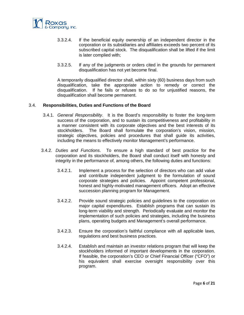

- 3.3.2.4. If the beneficial equity ownership of an independent director in the corporation or its subsidiaries and affiliates exceeds two percent of its subscribed capital stock. The disqualification shall be lifted if the limit is later complied with;
- 3.3.2.5. If any of the judgments or orders cited in the grounds for permanent disqualification has not yet become final.

A temporarily disqualified director shall, within sixty (60) business days from such disqualification, take the appropriate action to remedy or correct the disqualification. If he fails or refuses to do so for unjustified reasons, the disqualification shall become permanent.

## 3.4. **Responsibilities, Duties and Functions of the Board**

- 3.4.1. *General Responsibility*. It is the Board's responsibility to foster the long-term success of the corporation, and to sustain its competitiveness and profitability in a manner consistent with its corporate objectives and the best interests of its stockholders. The Board shall formulate the corporation's vision, mission, strategic objectives, policies and procedures that shall guide its activities, including the means to effectively monitor Management's performance.
- 3.4.2. *Duties and Functions*. To ensure a high standard of best practice for the corporation and its stockholders, the Board shall conduct itself with honesty and integrity in the performance of, among others, the following duties and functions:
	- 3.4.2.1. Implement a process for the selection of directors who can add value and contribute independent judgment to the formulation of sound corporate strategies and policies. Appoint competent professional, honest and highly-motivated management officers. Adopt an effective succession planning program for Management.
	- 3.4.2.2. Provide sound strategic policies and guidelines to the corporation on major capital expenditures. Establish programs that can sustain its long-term viability and strength. Periodically evaluate and monitor the implementation of such policies and strategies, including the business plans, operating budgets and Management's overall performance.
	- 3.4.2.3. Ensure the corporation's faithful compliance with all applicable laws, regulations and best business practices.
	- 3.4.2.4. Establish and maintain an investor relations program that will keep the stockholders informed of important developments in the corporation. If feasible, the corporation's CEO or Chief Financial Officer ("CFO") or his equivalent shall exercise oversight responsibility over this program.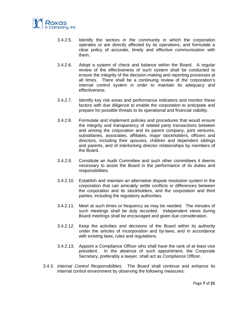

- 3.4.2.5. Identify the sectors in the community in which the corporation operates or are directly affected by its operations, and formulate a clear policy of accurate, timely and effective communication with them.
- 3.4.2.6. Adopt a system of check and balance within the Board. A regular review of the effectiveness of such system shall be conducted to ensure the integrity of the decision-making and reporting processes at all times. There shall be a continuing review of the corporation's internal control system in order to maintain its adequacy and effectiveness.
- 3.4.2.7. Identify key risk areas and performance indicators and monitor these factors with due diligence to enable the corporation to anticipate and prepare for possible threats to its operational and financial viability.
- 3.4.2.8. Formulate and implement policies and procedures that would ensure the integrity and transparency of related party transactions between and among the corporation and its parent company, joint ventures, subsidiaries, associates, affiliates, major stockholders, officers and directors, including their spouses, children and dependent siblings and parents, and of interlocking director relationships by members of the Board.
- 3.4.2.9. Constitute an Audit Committee and such other committees it deems necessary to assist the Board in the performance of its duties and responsibilities.
- 3.4.2.10. Establish and maintain an alternative dispute resolution system in the corporation that can amicably settle conflicts or differences between the corporation and its stockholders, and the corporation and third parties, including the regulatory authorities.
- 3.4.2.11. Meet at such times or frequency as may be needed. The minutes of such meetings shall be duly recorded. Independent views during Board meetings shall be encouraged and given due consideration.
- 3.4.2.12. Keep the activities and decisions of the Board within its authority under the articles of incorporation and by-laws, and in accordance with existing laws, rules and regulations.
- 3.4.2.13. Appoint a Compliance Officer who shall have the rank of at least vice president. In the absence of such appointment, the Corporate Secretary, preferably a lawyer, shall act as Compliance Officer.
- 3.4.3. *Internal Control Responsibilities*. The Board shall continue and enhance its internal control environment by observing the following measures: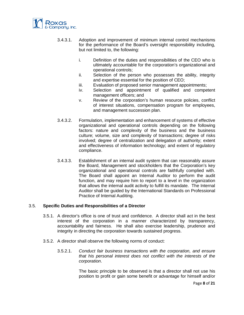

- 3.4.3.1. Adoption and improvement of minimum internal control mechanisms for the performance of the Board's oversight responsibility including, but not limited to, the following:
	- i. Definition of the duties and responsibilities of the CEO who is ultimately accountable for the corporation's organizational and operational controls;
	- ii. Selection of the person who possesses the ability, integrity and expertise essential for the position of CEO;
	- iii. Evaluation of proposed senior management appointments;
	- iv. Selection and appointment of qualified and competent management officers; and
	- v. Review of the corporation's human resource policies, conflict of interest situations, compensation program for employees, and management succession plan.
- 3.4.3.2. Formulation, implementation and enhancement of systems of effective organizational and operational controls depending on the following factors: nature and complexity of the business and the business culture; volume, size and complexity of transactions; degree of risks involved; degree of centralization and delegation of authority; extent and effectiveness of information technology; and extent of regulatory compliance.
- 3.4.3.3. Establishment of an internal audit system that can reasonably assure the Board, Management and stockholders that the Corporation's key organizational and operational controls are faithfully complied with. The Board shall appoint an Internal Auditor to perform the audit function, and may require him to report to a level in the organization that allows the internal audit activity to fulfill its mandate. The Internal Auditor shall be guided by the International Standards on Professional Practice of Internal Auditing.

# 3.5. **Specific Duties and Responsibilities of a Director**

- 3.5.1. A director's office is one of trust and confidence. A director shall act in the best interest of the corporation in a manner characterized by transparency, accountability and fairness. He shall also exercise leadership, prudence and integrity in directing the corporation towards sustained progress.
- 3.5.2. A director shall observe the following norms of conduct:
	- 3.5.2.1. *Conduct fair business transactions with the corporation, and ensure that his personal interest does not conflict with the interests of the corporation*.

The basic principle to be observed is that a director shall not use his position to profit or gain some benefit or advantage for himself and/or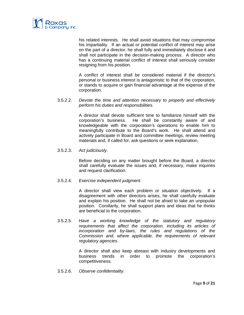

his related interests. He shall avoid situations that may compromise his impartiality. If an actual or potential conflict of interest may arise on the part of a director, he shall fully and immediately disclose it and shall not participate in the decision-making process. A director who has a continuing material conflict of interest shall seriously consider resigning from his position.

A conflict of interest shall be considered material if the director's personal or business interest is antagonistic to that of the corporation, or stands to acquire or gain financial advantage at the expense of the corporation.

## 3.5.2.2. *Devote the time and attention necessary to properly and effectively perform his duties and responsibilities*.

A director shall devote sufficient time to familiarize himself with the corporation's business. He shall be constantly aware of and knowledgeable with the corporation's operations to enable him to meaningfully contribute to the Board's work. He shall attend and actively participate in Board and committee meetings, review meeting materials and, if called for, ask questions or seek explanation.

# 3.5.2.3. *Act judiciously*.

Before deciding on any matter brought before the Board, a director shall carefully evaluate the issues and, if necessary, make inquiries and request clarification.

## 3.5.2.4. *Exercise independent judgment*.

A director shall view each problem or situation objectively. If a disagreement with other directors arises, he shall carefully evaluate and explain his position. He shall not be afraid to take an unpopular position. Corollarily, he shall support plans and ideas that he thinks are beneficial to the corporation.

3.5.2.5. *Have a working knowledge of the statutory and regulatory requirements that affect the corporation, including its articles of incorporation and by-laws, the rules and regulations of the Commission and, where applicable, the requirements of relevant regulatory agencies*.

> A director shall also keep abreast with industry developments and business trends in order to promote the corporation's competitiveness.

3.5.2.6. *Observe confidentiality*.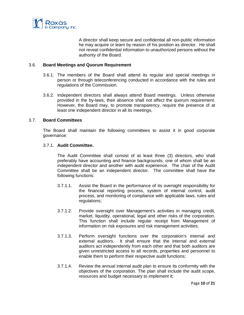

A director shall keep secure and confidential all non-public information he may acquire or learn by reason of his position as director. He shall not reveal confidential information to unauthorized persons without the authority of the Board.

## 3.6. **Board Meetings and Quorum Requirement**

- 3.6.1. The members of the Board shall attend its regular and special meetings in person or through teleconferencing conducted in accordance with the rules and regulations of the Commission.
- 3.6.2. Independent directors shall always attend Board meetings. Unless otherwise provided in the by-laws, their absence shall not affect the quorum requirement. However, the Board may, to promote transparency, require the presence of at least one independent director in all its meetings.

## 3.7. **Board Committees**

The Board shall maintain the following committees to assist it in good corporate governance:

#### 3.7.1. **Audit Committee.**

The Audit Committee shall consist of at least three (3) directors, who shall preferably have accounting and finance backgrounds, one of whom shall be an independent director and another with audit experience. The chair of the Audit Committee shall be an independent director. The committee shall have the following functions:

- 3.7.1.1. Assist the Board in the performance of its oversight responsibility for the financial reporting process, system of internal control, audit process, and monitoring of compliance with applicable laws, rules and regulations;
- 3.7.1.2. Provide oversight over Management's activities in managing credit, market, liquidity, operational, legal and other risks of the corporation. This function shall include regular receipt from Management of information on risk exposures and risk management activities;
- 3.7.1.3. Perform oversight functions over the corporation's internal and external auditors. It shall ensure that the internal and external auditors act independently from each other and that both auditors are given unrestricted access to all records, properties and personnel to enable them to perform their respective audit functions;
- 3.7.1.4. Review the annual internal audit plan to ensure its conformity with the objectives of the corporation. The plan shall include the audit scope, resources and budget necessary to implement it;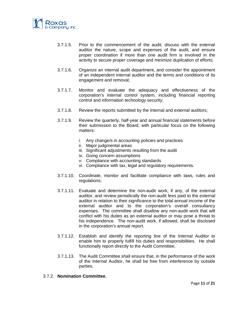

- 3.7.1.5. Prior to the commencement of the audit, discuss with the external auditor the nature, scope and expenses of the audit, and ensure proper coordination if more than one audit firm is involved in the activity to secure proper coverage and minimize duplication of efforts;
- 3.7.1.6. Organize an internal audit department, and consider the appointment of an independent internal auditor and the terms and conditions of its engagement and removal;
- 3.7.1.7. Monitor and evaluate the adequacy and effectiveness of the corporation's internal control system, including financial reporting control and information technology security;
- 3.7.1.8. Review the reports submitted by the internal and external auditors;
- 3.7.1.9. Review the quarterly, half-year and annual financial statements before their submission to the Board, with particular focus on the following matters:
	- i. Any change/s in accounting policies and practices
	- ii. Major judgmental areas
	- iii. Significant adjustments resulting from the audit
	- iv. Going concern assumptions
	- v. Compliance with accounting standards
	- vi. Compliance with tax, legal and regulatory requirements.
- 3.7.1.10. Coordinate, monitor and facilitate compliance with laws, rules and regulations;
- 3.7.1.11. Evaluate and determine the non-audit work, if any, of the external auditor, and review periodically the non-audit fees paid to the external auditor in relation to their significance to the total annual income of the external auditor and to the corporation's overall consultancy expenses. The committee shall disallow any non-audit work that will conflict with his duties as an external auditor or may pose a threat to his independence. The non-audit work, if allowed, shall be disclosed in the corporation's annual report.
- 3.7.1.12. Establish and identify the reporting line of the Internal Auditor to enable him to properly fulfill his duties and responsibilities. He shall functionally report directly to the Audit Committee.
- 3.7.1.13. The Audit Committee shall ensure that, in the performance of the work of the Internal Auditor, he shall be free from interference by outside parties.

#### 3.7.2. **Nomination Committee.**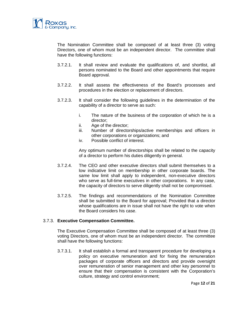

The Nomination Committee shall be composed of at least three (3) voting Directors, one of whom must be an independent director. The committee shall have the following functions:

- 3.7.2.1. It shall review and evaluate the qualifications of, and shortlist, all persons nominated to the Board and other appointments that require Board approval.
- 3.7.2.2. It shall assess the effectiveness of the Board's processes and procedures in the election or replacement of directors.
- 3.7.2.3. It shall consider the following guidelines in the determination of the capability of a director to serve as such:
	- i. The nature of the business of the corporation of which he is a director;
	- ii. Age of the director;
	- iii. Number of directorships/active memberships and officers in other corporations or organizations; and
	- iv. Possible conflict of interest.

Any optimum number of directorships shall be related to the capacity of a director to perform his duties diligently in general.

- 3.7.2.4. The CEO and other executive directors shall submit themselves to a low indicative limit on membership in other corporate boards. The same low limit shall apply to independent, non-executive directors who serve as full-time executives in other corporations. In any case, the capacity of directors to serve diligently shall not be compromised.
- 3.7.2.5. The findings and recommendations of the Nomination Committee shall be submitted to the Board for approval; Provided that a director whose qualifications are in issue shall not have the right to vote when the Board considers his case.

# 3.7.3. **Executive Compensation Committee.**

The Executive Compensation Committee shall be composed of at least three (3) voting Directors, one of whom must be an independent director. The committee shall have the following functions:

3.7.3.1. It shall establish a formal and transparent procedure for developing a policy on executive remuneration and for fixing the remuneration packages of corporate officers and directors and provide oversight over remuneration of senior management and other key personnel to ensure that their compensation is consistent with the Corporation's culture, strategy and control environment;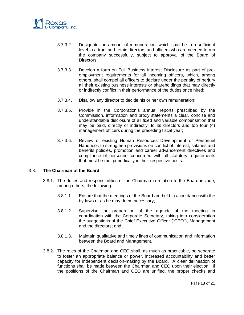

- 3.7.3.2. Designate the amount of remuneration, which shall be in a sufficient level to attract and retain directors and officers who are needed to run the company successfully, subject to approval of the Board of Directors;
- 3.7.3.3. Develop a form on Full Business Interest Disclosure as part of preemployment requirements for all incoming officers, which, among others, shall compel all officers to declare under the penalty of perjury all their existing business interests or shareholdings that may directly or indirectly conflict in their performance of the duties once hired;
- 3.7.3.4. Disallow any director to decide his or her own remuneration;
- 3.7.3.5. Provide in the Corporation's annual reports prescribed by the Commission, information and proxy statements a clear, concise and understandable disclosure of all fixed and variable compensation that may be paid, directly or indirectly, to its directors and top four (4) management officers during the preceding fiscal year;
- 3.7.3.6. Review of existing Human Resources Development or Personnel Handbook to strengthen provisions on conflict of interest, salaries and benefits policies, promotion and career advancement directives and compliance of personnel concerned with all statutory requirements that must be met periodically in their respective posts.

# 3.8. **The Chairman of the Board**

- 3.8.1. The duties and responsibilities of the Chairman in relation to the Board include, among others, the following:
	- 3.8.1.1. Ensure that the meetings of the Board are held in accordance with the by-laws or as he may deem necessary;
	- 3.8.1.2. Supervise the preparation of the agenda of the meeting in coordination with the Corporate Secretary, taking into consideration the suggestions of the Chief Executive Officer ("CEO"), Management and the directors; and
	- 3.8.1.3. Maintain qualitative and timely lines of communication and information between the Board and Management.
- 3.8.2. The roles of the Chairman and CEO shall, as much as practicable, be separate to foster an appropriate balance or power, increased accountability and better capacity for independent decision-making by the Board. A clear delineation of functions shall be made between the Chairman and CEO upon their election. If the positions of the Chairman and CEO are unified, the proper checks and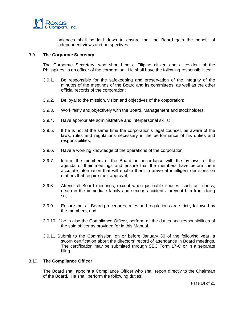

balances shall be laid down to ensure that the Board gets the benefit of independent views and perspectives.

## 3.9. **The Corporate Secretary**

The Corporate Secretary, who should be a Filipino citizen and a resident of the Philippines, is an officer of the corporation. He shall have the following responsibilities:

- 3.9.1. Be responsible for the safekeeping and preservation of the integrity of the minutes of the meetings of the Board and its committees, as well as the other official records of the corporation;
- 3.9.2. Be loyal to the mission, vision and objectives of the corporation;
- 3.9.3. Work fairly and objectively with the Board, Management and stockholders;
- 3.9.4. Have appropriate administrative and interpersonal skills;
- 3.9.5. If he is not at the same time the corporation's legal counsel, be aware of the laws, rules and regulations necessary in the performance of his duties and responsibilities;
- 3.9.6. Have a working knowledge of the operations of the corporation;
- 3.9.7. Inform the members of the Board, in accordance with the by-laws, of the agenda of their meetings and ensure that the members have before them accurate information that will enable them to arrive at intelligent decisions on matters that require their approval;
- 3.9.8. Attend all Board meetings, except when justifiable causes, such as, illness, death in the immediate family and serious accidents, prevent him from doing so;
- 3.9.9. Ensure that all Board procedures, rules and regulations are strictly followed by the members; and
- 3.9.10. If he is also the Compliance Officer, perform all the duties and responsibilities of the said officer as provided for in this Manual.
- 3.9.11. Submit to the Commission, on or before January 30 of the following year, a sworn certification about the directors' record of attendance in Board meetings. The certification may be submitted through SEC Form 17-C or in a separate filing.

## 3.10. **The Compliance Officer**

The Board shall appoint a Compliance Officer who shall report directly to the Chairman of the Board. He shall perform the following duties: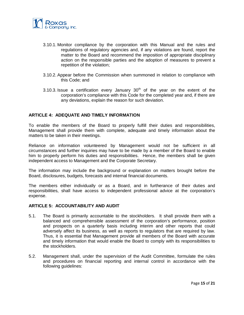

- 3.10.1. Monitor compliance by the corporation with this Manual and the rules and regulations of regulatory agencies and, if any violations are found, report the matter to the Board and recommend the imposition of appropriate disciplinary action on the responsible parties and the adoption of measures to prevent a repetition of the violation;
- 3.10.2. Appear before the Commission when summoned in relation to compliance with this Code; and
- 3.10.3. Issue a certification every January  $30<sup>th</sup>$  of the year on the extent of the corporation's compliance with this Code for the completed year and, if there are any deviations, explain the reason for such deviation.

## **ARTICLE 4: ADEQUATE AND TIMELY INFORMATION**

To enable the members of the Board to properly fulfill their duties and responsibilities, Management shall provide them with complete, adequate and timely information about the matters to be taken in their meetings.

Reliance on information volunteered by Management would not be sufficient in all circumstances and further inquiries may have to be made by a member of the Board to enable him to properly perform his duties and responsibilities. Hence, the members shall be given independent access to Management and the Corporate Secretary.

The information may include the background or explanation on matters brought before the Board, disclosures, budgets, forecasts and internal financial documents.

The members either individually or as a Board, and in furtherance of their duties and responsibilities, shall have access to independent professional advice at the corporation's expense.

## **ARTICLE 5: ACCOUNTABILITY AND AUDIT**

- 5.1. The Board is primarily accountable to the stockholders. It shall provide them with a balanced and comprehensible assessment of the corporation's performance, position and prospects on a quarterly basis including interim and other reports that could adversely affect its business, as well as reports to regulators that are required by law. Thus, it is essential that Management provide all members of the Board with accurate and timely information that would enable the Board to comply with its responsibilities to the stockholders.
- 5.2. Management shall, under the supervision of the Audit Committee, formulate the rules and procedures on financial reporting and internal control in accordance with the following guidelines: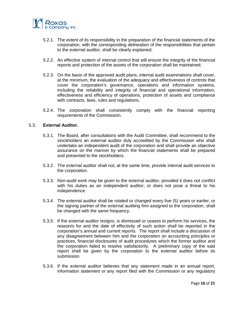

- 5.2.1. The extent of its responsibility in the preparation of the financial statements of the corporation, with the corresponding delineation of the responsibilities that pertain to the external auditor, shall be clearly explained;
- 5.2.2. An effective system of internal control that will ensure the integrity of the financial reports and protection of the assets of the corporation shall be maintained;
- 5.2.3. On the basis of the approved audit plans, internal audit examinations shall cover, at the minimum, the evaluation of the adequacy and effectiveness of controls that cover the corporation's governance, operations and information systems, including the reliability and integrity of financial and operational information, effectiveness and efficiency of operations, protection of assets and compliance with contracts, laws, rules and regulations;
- 5.2.4. The corporation shall consistently comply with the financial reporting requirements of the Commission.

#### 5.3. **External Auditor.**

- 5.3.1. The Board, after consultations with the Audit Committee, shall recommend to the stockholders an external auditor duly accredited by the Commission who shall undertake an independent audit of the corporation and shall provide an objective assurance on the manner by which the financial statements shall be prepared and presented to the stockholders.
- 5.3.2. The external auditor shall not, at the same time, provide internal audit services to the corporation.
- 5.3.3. Non-audit work may be given to the external auditor, provided it does not conflict with his duties as an independent auditor, or does not pose a threat to his independence.
- 5.3.4. The external auditor shall be rotated or changed every five (5) years or earlier, or the signing partner of the external auditing firm assigned to the corporation, shall be changed with the same frequency.
- 5.3.5. If the external auditor resigns, is dismissed or ceases to perform his services, the reason/s for and the date of effectivity of such action shall be reported in the corporation's annual and current reports. The report shall include a discussion of any disagreement between him and the corporation on accounting principles or practices, financial disclosures of audit procedures which the former auditor and the corporation failed to resolve satisfactorily. A preliminary copy of the said report shall be given by the corporation to the external auditor before its submission.
- 5.3.6. If the external auditor believes that any statement made in an annual report, information statement or any report filed with the Commission or any regulatory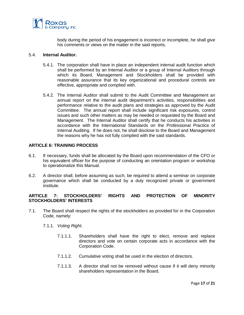

body during the period of his engagement is incorrect or incomplete, he shall give his comments or views on the matter in the said reports.

## 5.4. **Internal Auditor.**

- 5.4.1. The corporation shall have in place an independent internal audit function which shall be performed by an Internal Auditor or a group of Internal Auditors through which its Board, Management and Stockholders shall be provided with reasonable assurance that its key organizational and procedural controls are effective, appropriate and complied with.
- 5.4.2. The Internal Auditor shall submit to the Audit Committee and Management an annual report on the internal audit department's activities, responsibilities and performance relative to the audit plans and strategies as approved by the Audit Committee. The annual report shall include significant risk exposures, control issues and such other matters as may be needed or requested by the Board and Management. The Internal Auditor shall certify that he conducts his activities in accordance with the International Standards on the Professional Practice of Internal Auditing. If he does not, he shall disclose to the Board and Management the reasons why he has not fully complied with the said standards.

# **ARTICLE 6: TRAINING PROCESS**

- 6.1. If necessary, funds shall be allocated by the Board upon recommendation of the CFO or his equivalent officer for the purpose of conducting an orientation program or workshop to operationalize this Manual.
- 6.2. A director shall, before assuming as such, be required to attend a seminar on corporate governance which shall be conducted by a duly recognized private or government institute.

# **ARTICLE 7: STOCKHOLDERS' RIGHTS AND PROTECTION OF MINORITY STOCKHOLDERS' INTERESTS**

- 7.1. The Board shall respect the rights of the stockholders as provided for in the Corporation Code, namely:
	- 7.1.1. *Voting Right*.
		- 7.1.1.1. Shareholders shall have the right to elect, remove and replace directors and vote on certain corporate acts in accordance with the Corporation Code.
		- 7.1.1.2. Cumulative voting shall be used in the election of directors.
		- 7.1.1.3. A director shall not be removed without cause if it will deny minority shareholders representation in the Board.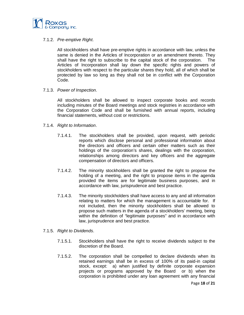

# 7.1.2. *Pre-emptive Right*.

All stockholders shall have pre-emptive rights in accordance with law, unless the same is denied in the Articles of Incorporation or an amendment thereto. They shall have the right to subscribe to the capital stock of the corporation. The Articles of Incorporation shall lay down the specific rights and powers of stockholders with respect to the particular shares they hold, all of which shall be protected by law so long as they shall not be in conflict with the Corporation Code.

## 7.1.3. *Power of Inspection*.

All stockholders shall be allowed to inspect corporate books and records including minutes of the Board meetings and stock registries in accordance with the Corporation Code and shall be furnished with annual reports, including financial statements, without cost or restrictions.

- 7.1.4. *Right to Information*.
	- 7.1.4.1. The stockholders shall be provided, upon request, with periodic reports which disclose personal and professional information about the directors and officers and certain other matters such as their holdings of the corporation's shares, dealings with the corporation, relationships among directors and key officers and the aggregate compensation of directors and officers.
	- 7.1.4.2. The minority stockholders shall be granted the right to propose the holding of a meeting, and the right to propose items in the agenda provided the items are for legitimate business purposes, and in accordance with law, jurisprudence and best practice.
	- 7.1.4.3. The minority stockholders shall have access to any and all information relating to matters for which the management is accountable for. If not included, then the minority stockholders shall be allowed to propose such matters in the agenda of a stockholders' meeting, being within the definition of "legitimate purposes" and in accordance with law, jurisprudence and best practice.
- 7.1.5. *Right to Dividends*.
	- 7.1.5.1. Stockholders shall have the right to receive dividends subject to the discretion of the Board.
	- 7.1.5.2. The corporation shall be compelled to declare dividends when its retained earnings shall be in excess of 100% of its paid-in capital stock, except: a) when justified by definite corporate expansion projects or programs approved by the Board or b) when the corporation is prohibited under any loan agreement with any financial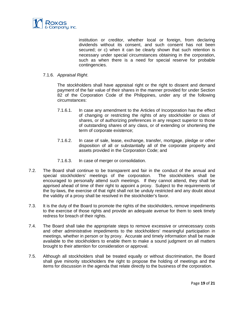

institution or creditor, whether local or foreign, from declaring dividends without its consent, and such consent has not been secured; or c) when it can be clearly shown that such retention is necessary under special circumstances obtaining in the corporation, such as when there is a need for special reserve for probable contingencies.

## 7.1.6. *Appraisal Right*.

The stockholders shall have appraisal right or the right to dissent and demand payment of the fair value of their shares in the manner provided for under Section 82 of the Corporation Code of the Philippines, under any of the following circumstances:

- 7.1.6.1. In case any amendment to the Articles of Incorporation has the effect of changing or restricting the rights of any stockholder or class of shares, or of authorizing preferences in any respect superior to those of outstanding shares of any class, or of extending or shortening the term of corporate existence;
- 7.1.6.2. In case of sale, lease, exchange, transfer, mortgage, pledge or other disposition of all or substantially all of the corporate property and assets provided in the Corporation Code; and
- 7.1.6.3. In case of merger or consolidation.
- 7.2. The Board shall continue to be transparent and fair in the conduct of the annual and special stockholders' meetings of the corporation. The stockholders shall be encouraged to personally attend such meetings. If they cannot attend, they shall be apprised ahead of time of their right to appoint a proxy. Subject to the requirements of the by-laws, the exercise of that right shall not be unduly restricted and any doubt about the validity of a proxy shall be resolved in the stockholder's favor.
- 7.3. It is the duty of the Board to promote the rights of the stockholders, remove impediments to the exercise of those rights and provide an adequate avenue for them to seek timely redress for breach of their rights.
- 7.4. The Board shall take the appropriate steps to remove excessive or unnecessary costs and other administrative impediments to the stockholders' meaningful participation in meetings, whether in person or by proxy. Accurate and timely information shall be made available to the stockholders to enable them to make a sound judgment on all matters brought to their attention for consideration or approval.
- 7.5. Although all stockholders shall be treated equally or without discrimination, the Board shall give minority stockholders the right to propose the holding of meetings and the items for discussion in the agenda that relate directly to the business of the corporation.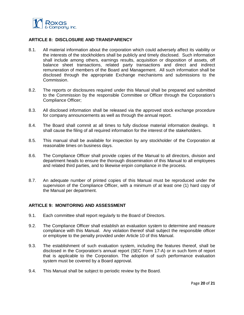

## **ARTICLE 8: DISCLOSURE AND TRANSPARENCY**

- 8.1. All material information about the corporation which could adversely affect its viability or the interests of the stockholders shall be publicly and timely disclosed. Such information shall include among others, earnings results, acquisition or disposition of assets, off balance sheet transactions, related party transactions and direct and indirect remuneration of members of the Board and Management. All such information shall be disclosed through the appropriate Exchange mechanisms and submissions to the Commission.
- 8.2. The reports or disclosures required under this Manual shall be prepared and submitted to the Commission by the responsible Committee or Officer through the Corporation's Compliance Officer;
- 8.3. All disclosed information shall be released via the approved stock exchange procedure for company announcements as well as through the annual report.
- 8.4. The Board shall commit at all times to fully disclose material information dealings. It shall cause the filing of all required information for the interest of the stakeholders.
- 8.5. This manual shall be available for inspection by any stockholder of the Corporation at reasonable times on business days.
- 8.6. The Compliance Officer shall provide copies of the Manual to all directors, division and department heads to ensure the thorough dissemination of this Manual to all employees and related third parties, and to likewise enjoin compliance in the process.
- 8.7. An adequate number of printed copies of this Manual must be reproduced under the supervision of the Compliance Officer, with a minimum of at least one (1) hard copy of the Manual per department.

## **ARTICLE 9: MONITORING AND ASSESSMENT**

- 9.1. Each committee shall report regularly to the Board of Directors.
- 9.2. The Compliance Officer shall establish an evaluation system to determine and measure compliance with this Manual. Any violation thereof shall subject the responsible officer or employee to the penalty provided under Article 10 of this Manual.
- 9.3. The establishment of such evaluation system, including the features thereof, shall be disclosed in the Corporation's annual report (SEC Form 17-A) or in such form of report that is applicable to the Corporation. The adoption of such performance evaluation system must be covered by a Board approval.
- 9.4. This Manual shall be subject to periodic review by the Board.